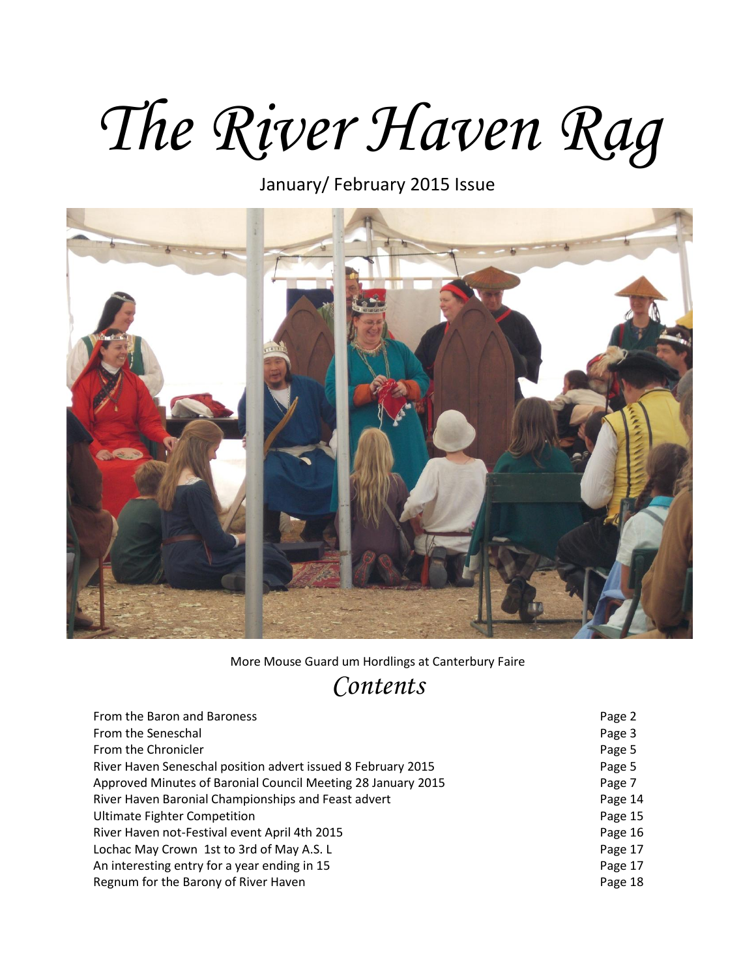# *The River Haven Rag*

January/ February 2015 Issue



More Mouse Guard um Hordlings at Canterbury Faire

## *Contents*

| From the Baron and Baroness                                  | Page 2  |
|--------------------------------------------------------------|---------|
| From the Seneschal                                           | Page 3  |
| From the Chronicler                                          | Page 5  |
| River Haven Seneschal position advert issued 8 February 2015 | Page 5  |
| Approved Minutes of Baronial Council Meeting 28 January 2015 | Page 7  |
| River Haven Baronial Championships and Feast advert          | Page 14 |
| <b>Ultimate Fighter Competition</b>                          | Page 15 |
| River Haven not-Festival event April 4th 2015                | Page 16 |
| Lochac May Crown 1st to 3rd of May A.S. L                    | Page 17 |
| An interesting entry for a year ending in 15                 | Page 17 |
| Regnum for the Barony of River Haven                         | Page 18 |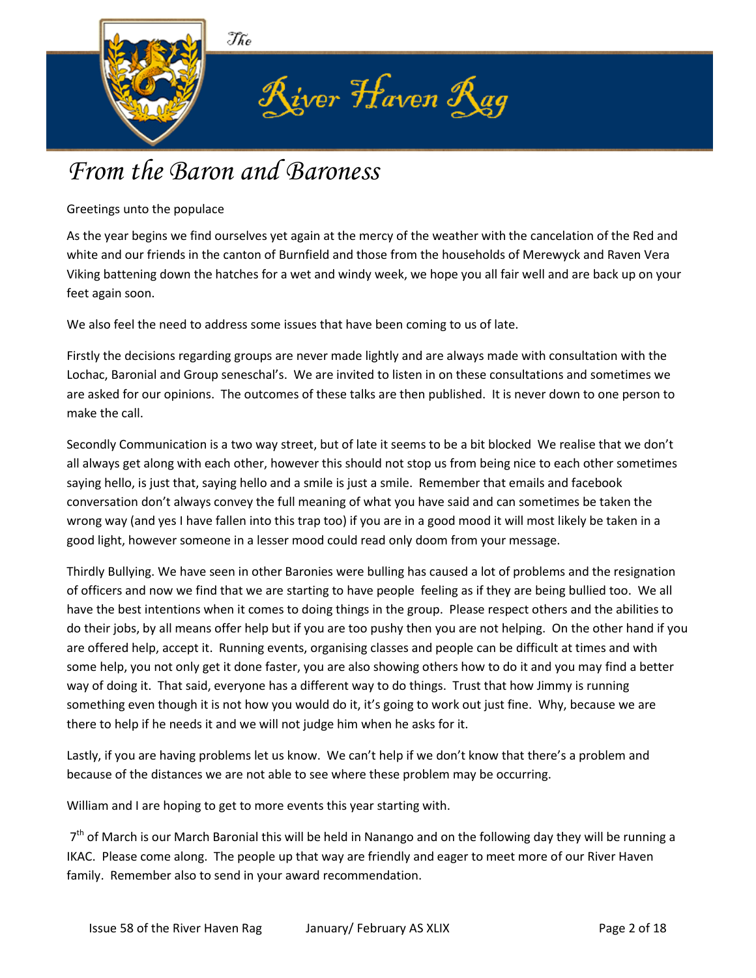

# *From the Baron and Baroness*

Greetings unto the populace

As the year begins we find ourselves yet again at the mercy of the weather with the cancelation of the Red and white and our friends in the canton of Burnfield and those from the households of Merewyck and Raven Vera Viking battening down the hatches for a wet and windy week, we hope you all fair well and are back up on your feet again soon.

We also feel the need to address some issues that have been coming to us of late.

Firstly the decisions regarding groups are never made lightly and are always made with consultation with the Lochac, Baronial and Group seneschal's. We are invited to listen in on these consultations and sometimes we are asked for our opinions. The outcomes of these talks are then published. It is never down to one person to make the call.

Secondly Communication is a two way street, but of late it seems to be a bit blocked We realise that we don't all always get along with each other, however this should not stop us from being nice to each other sometimes saying hello, is just that, saying hello and a smile is just a smile. Remember that emails and facebook conversation don't always convey the full meaning of what you have said and can sometimes be taken the wrong way (and yes I have fallen into this trap too) if you are in a good mood it will most likely be taken in a good light, however someone in a lesser mood could read only doom from your message.

Thirdly Bullying. We have seen in other Baronies were bulling has caused a lot of problems and the resignation of officers and now we find that we are starting to have people feeling as if they are being bullied too. We all have the best intentions when it comes to doing things in the group. Please respect others and the abilities to do their jobs, by all means offer help but if you are too pushy then you are not helping. On the other hand if you are offered help, accept it. Running events, organising classes and people can be difficult at times and with some help, you not only get it done faster, you are also showing others how to do it and you may find a better way of doing it. That said, everyone has a different way to do things. Trust that how Jimmy is running something even though it is not how you would do it, it's going to work out just fine. Why, because we are there to help if he needs it and we will not judge him when he asks for it.

Lastly, if you are having problems let us know. We can't help if we don't know that there's a problem and because of the distances we are not able to see where these problem may be occurring.

William and I are hoping to get to more events this year starting with.

7<sup>th</sup> of March is our March Baronial this will be held in Nanango and on the following day they will be running a IKAC. Please come along. The people up that way are friendly and eager to meet more of our River Haven family. Remember also to send in your award recommendation.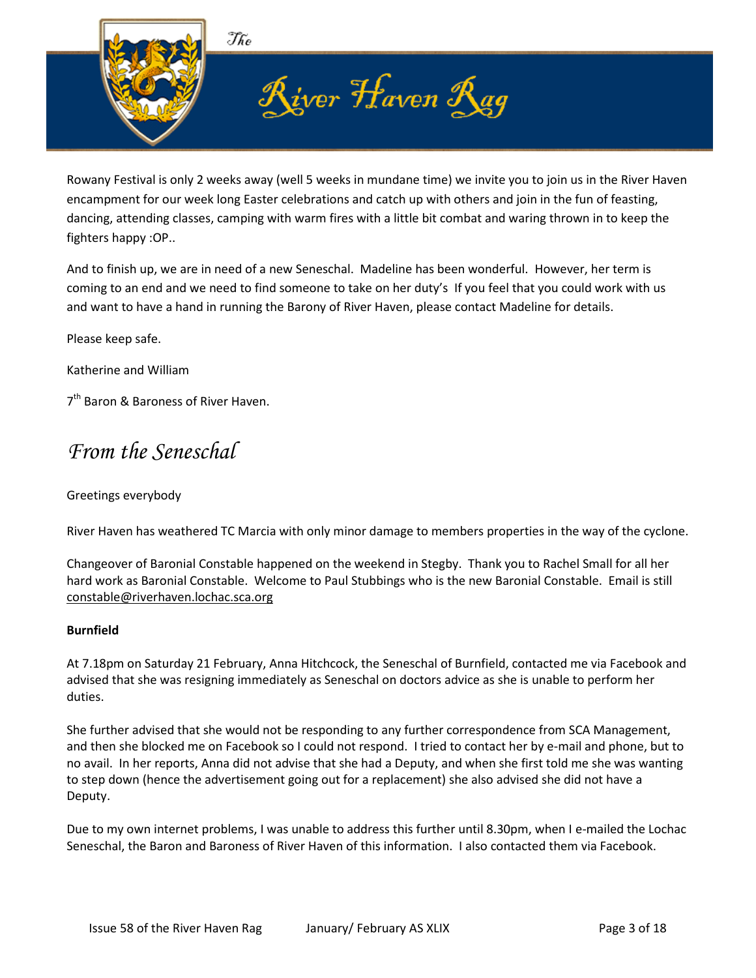

Rowany Festival is only 2 weeks away (well 5 weeks in mundane time) we invite you to join us in the River Haven encampment for our week long Easter celebrations and catch up with others and join in the fun of feasting, dancing, attending classes, camping with warm fires with a little bit combat and waring thrown in to keep the fighters happy :OP..

And to finish up, we are in need of a new Seneschal. Madeline has been wonderful. However, her term is coming to an end and we need to find someone to take on her duty's If you feel that you could work with us and want to have a hand in running the Barony of River Haven, please contact Madeline for details.

Please keep safe.

Katherine and William

7<sup>th</sup> Baron & Baroness of River Haven.

### *From the Seneschal*

#### Greetings everybody

River Haven has weathered TC Marcia with only minor damage to members properties in the way of the cyclone.

Changeover of Baronial Constable happened on the weekend in Stegby. Thank you to Rachel Small for all her hard work as Baronial Constable. Welcome to Paul Stubbings who is the new Baronial Constable. Email is still [constable@riverhaven.lochac.sca.org](mailto:constable@riverhaven.lochac.sca.org)

#### **Burnfield**

At 7.18pm on Saturday 21 February, Anna Hitchcock, the Seneschal of Burnfield, contacted me via Facebook and advised that she was resigning immediately as Seneschal on doctors advice as she is unable to perform her duties.

She further advised that she would not be responding to any further correspondence from SCA Management, and then she blocked me on Facebook so I could not respond. I tried to contact her by e-mail and phone, but to no avail. In her reports, Anna did not advise that she had a Deputy, and when she first told me she was wanting to step down (hence the advertisement going out for a replacement) she also advised she did not have a Deputy.

Due to my own internet problems, I was unable to address this further until 8.30pm, when I e-mailed the Lochac Seneschal, the Baron and Baroness of River Haven of this information. I also contacted them via Facebook.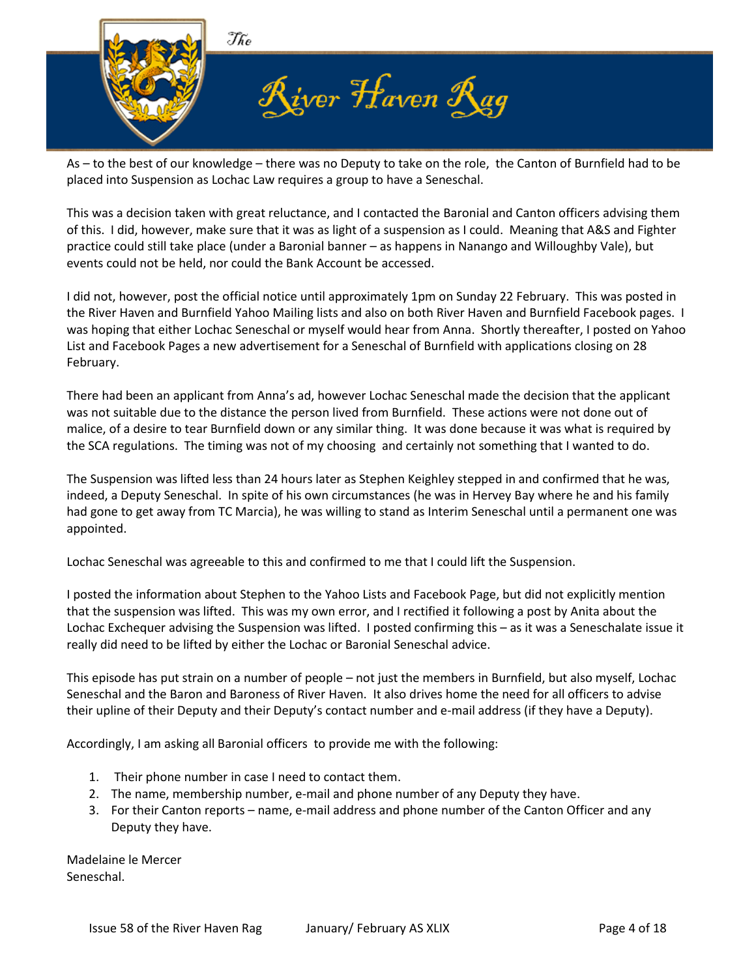

As – to the best of our knowledge – there was no Deputy to take on the role, the Canton of Burnfield had to be placed into Suspension as Lochac Law requires a group to have a Seneschal.

This was a decision taken with great reluctance, and I contacted the Baronial and Canton officers advising them of this. I did, however, make sure that it was as light of a suspension as I could. Meaning that A&S and Fighter practice could still take place (under a Baronial banner – as happens in Nanango and Willoughby Vale), but events could not be held, nor could the Bank Account be accessed.

I did not, however, post the official notice until approximately 1pm on Sunday 22 February. This was posted in the River Haven and Burnfield Yahoo Mailing lists and also on both River Haven and Burnfield Facebook pages. I was hoping that either Lochac Seneschal or myself would hear from Anna. Shortly thereafter, I posted on Yahoo List and Facebook Pages a new advertisement for a Seneschal of Burnfield with applications closing on 28 February.

There had been an applicant from Anna's ad, however Lochac Seneschal made the decision that the applicant was not suitable due to the distance the person lived from Burnfield. These actions were not done out of malice, of a desire to tear Burnfield down or any similar thing. It was done because it was what is required by the SCA regulations. The timing was not of my choosing and certainly not something that I wanted to do.

The Suspension was lifted less than 24 hours later as Stephen Keighley stepped in and confirmed that he was, indeed, a Deputy Seneschal. In spite of his own circumstances (he was in Hervey Bay where he and his family had gone to get away from TC Marcia), he was willing to stand as Interim Seneschal until a permanent one was appointed.

Lochac Seneschal was agreeable to this and confirmed to me that I could lift the Suspension.

I posted the information about Stephen to the Yahoo Lists and Facebook Page, but did not explicitly mention that the suspension was lifted. This was my own error, and I rectified it following a post by Anita about the Lochac Exchequer advising the Suspension was lifted. I posted confirming this – as it was a Seneschalate issue it really did need to be lifted by either the Lochac or Baronial Seneschal advice.

This episode has put strain on a number of people – not just the members in Burnfield, but also myself, Lochac Seneschal and the Baron and Baroness of River Haven. It also drives home the need for all officers to advise their upline of their Deputy and their Deputy's contact number and e-mail address (if they have a Deputy).

Accordingly, I am asking all Baronial officers to provide me with the following:

- 1. Their phone number in case I need to contact them.
- 2. The name, membership number, e-mail and phone number of any Deputy they have.
- 3. For their Canton reports name, e-mail address and phone number of the Canton Officer and any Deputy they have.

Madelaine le Mercer Seneschal.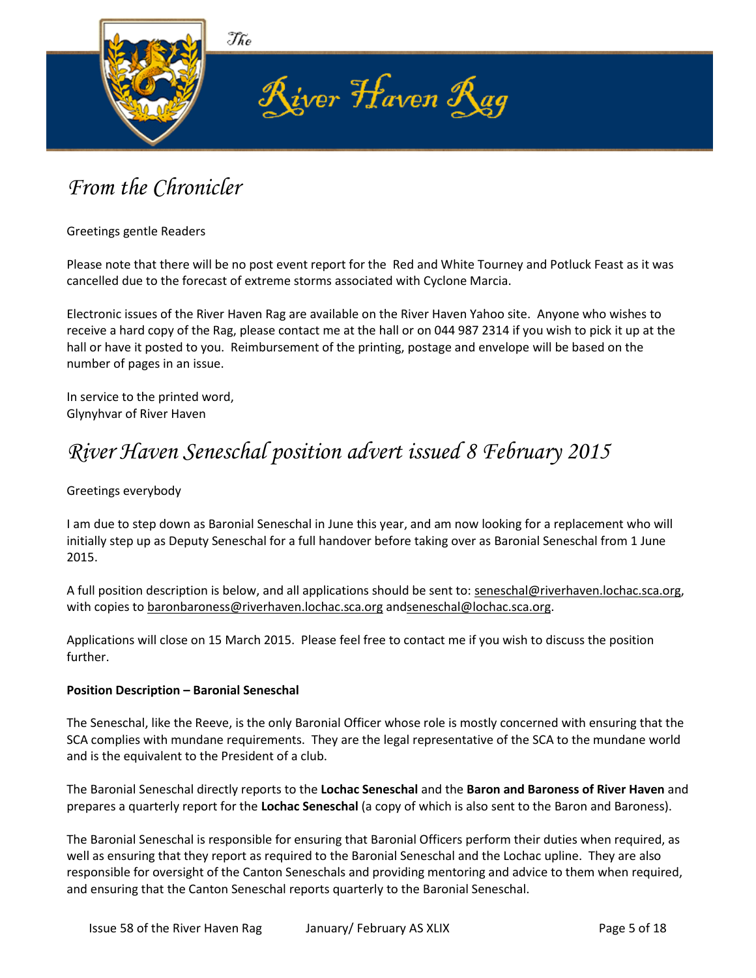

## *From the Chronicler*

Greetings gentle Readers

Please note that there will be no post event report for the Red and White Tourney and Potluck Feast as it was cancelled due to the forecast of extreme storms associated with Cyclone Marcia.

Electronic issues of the River Haven Rag are available on the River Haven Yahoo site. Anyone who wishes to receive a hard copy of the Rag, please contact me at the hall or on 044 987 2314 if you wish to pick it up at the hall or have it posted to you. Reimbursement of the printing, postage and envelope will be based on the number of pages in an issue.

In service to the printed word, Glynyhvar of River Haven

## *River Haven Seneschal position advert issued 8 February 2015*

Greetings everybody

I am due to step down as Baronial Seneschal in June this year, and am now looking for a replacement who will initially step up as Deputy Seneschal for a full handover before taking over as Baronial Seneschal from 1 June 2015.

A full position description is below, and all applications should be sent to: seneschal@riverhaven.lochac.sca.org, with copies to baronbaroness@riverhaven.lochac.sca.org andseneschal@lochac.sca.org.

Applications will close on 15 March 2015. Please feel free to contact me if you wish to discuss the position further.

#### **Position Description – Baronial Seneschal**

The Seneschal, like the Reeve, is the only Baronial Officer whose role is mostly concerned with ensuring that the SCA complies with mundane requirements. They are the legal representative of the SCA to the mundane world and is the equivalent to the President of a club.

The Baronial Seneschal directly reports to the **Lochac Seneschal** and the **Baron and Baroness of River Haven** and prepares a quarterly report for the **Lochac Seneschal** (a copy of which is also sent to the Baron and Baroness).

The Baronial Seneschal is responsible for ensuring that Baronial Officers perform their duties when required, as well as ensuring that they report as required to the Baronial Seneschal and the Lochac upline. They are also responsible for oversight of the Canton Seneschals and providing mentoring and advice to them when required, and ensuring that the Canton Seneschal reports quarterly to the Baronial Seneschal.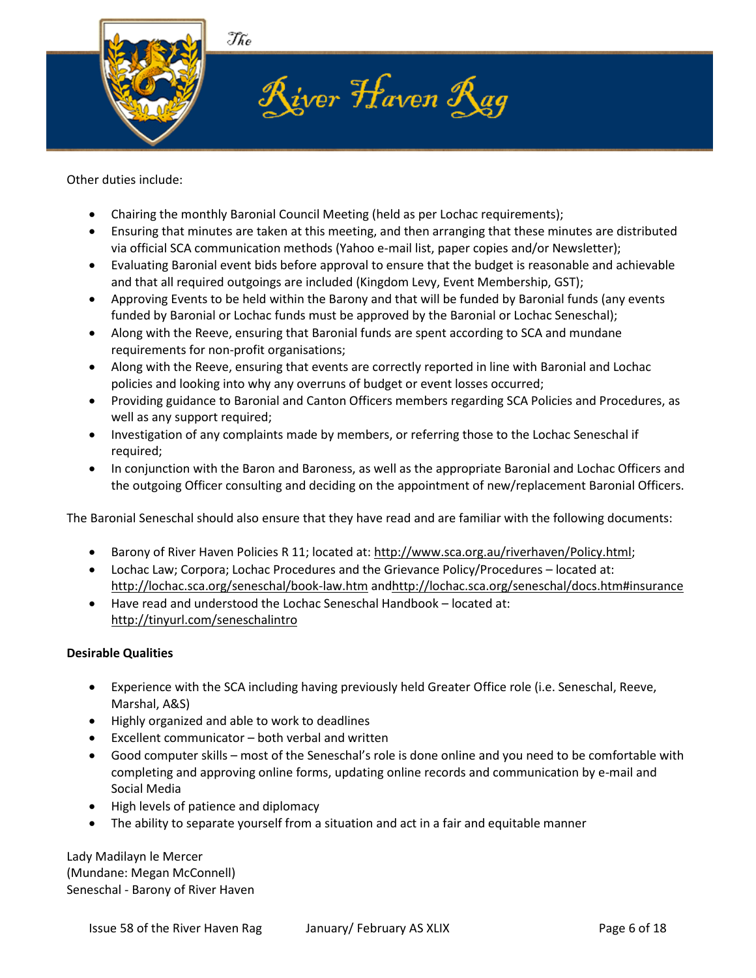

Other duties include:

- Chairing the monthly Baronial Council Meeting (held as per Lochac requirements);
- Ensuring that minutes are taken at this meeting, and then arranging that these minutes are distributed via official SCA communication methods (Yahoo e-mail list, paper copies and/or Newsletter);
- Evaluating Baronial event bids before approval to ensure that the budget is reasonable and achievable and that all required outgoings are included (Kingdom Levy, Event Membership, GST);
- Approving Events to be held within the Barony and that will be funded by Baronial funds (any events funded by Baronial or Lochac funds must be approved by the Baronial or Lochac Seneschal);
- Along with the Reeve, ensuring that Baronial funds are spent according to SCA and mundane requirements for non-profit organisations;
- Along with the Reeve, ensuring that events are correctly reported in line with Baronial and Lochac policies and looking into why any overruns of budget or event losses occurred;
- Providing guidance to Baronial and Canton Officers members regarding SCA Policies and Procedures, as well as any support required;
- Investigation of any complaints made by members, or referring those to the Lochac Seneschal if required;
- In conjunction with the Baron and Baroness, as well as the appropriate Baronial and Lochac Officers and the outgoing Officer consulting and deciding on the appointment of new/replacement Baronial Officers.

The Baronial Seneschal should also ensure that they have read and are familiar with the following documents:

- Barony of River Haven Policies R 11; located at: [http://www.sca.org.au/riverhaven/Policy.html;](http://www.sca.org.au/riverhaven/Policy.html)
- Lochac Law; Corpora; Lochac Procedures and the Grievance Policy/Procedures located at: <http://lochac.sca.org/seneschal/book-law.htm> an[dhttp://lochac.sca.org/seneschal/docs.htm#insurance](http://lochac.sca.org/seneschal/docs.htm#insurance)
- Have read and understood the Lochac Seneschal Handbook located at: <http://tinyurl.com/seneschalintro>

#### **Desirable Qualities**

- Experience with the SCA including having previously held Greater Office role (i.e. Seneschal, Reeve, Marshal, A&S)
- Highly organized and able to work to deadlines
- Excellent communicator both verbal and written
- Good computer skills most of the Seneschal's role is done online and you need to be comfortable with completing and approving online forms, updating online records and communication by e-mail and Social Media
- High levels of patience and diplomacy
- The ability to separate yourself from a situation and act in a fair and equitable manner

Lady Madilayn le Mercer (Mundane: Megan McConnell) Seneschal - Barony of River Haven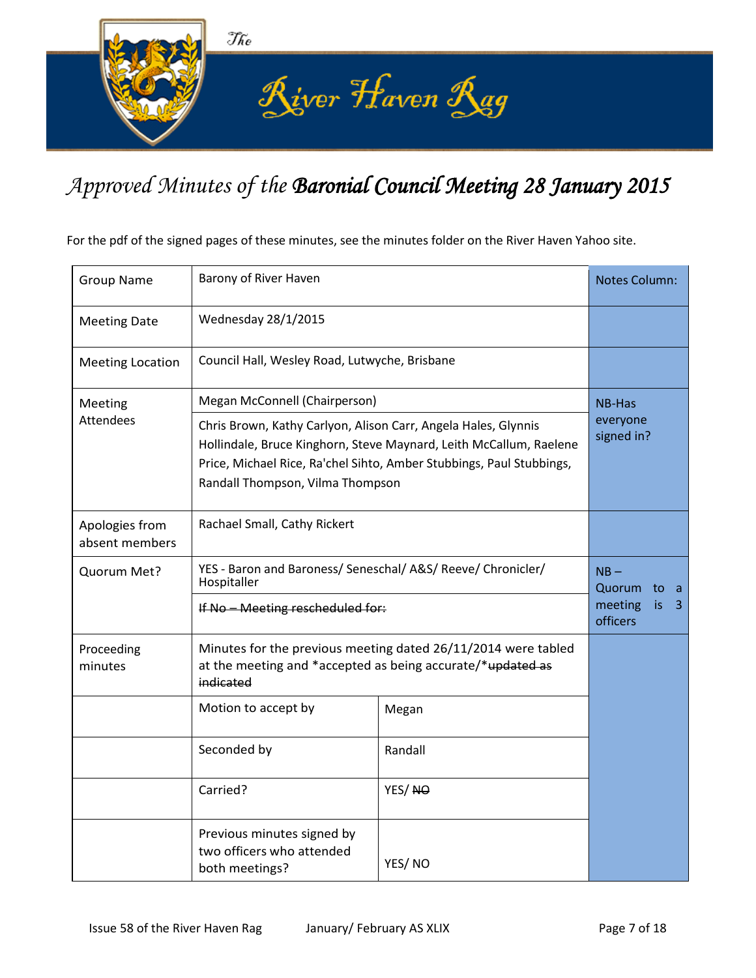

# *Approved Minutes of the Baronial Council Meeting 28 January 2015*

For the pdf of the signed pages of these minutes, see the minutes folder on the River Haven Yahoo site.

| <b>Group Name</b>                | Barony of River Haven                                                                                                                                                                                                                            | <b>Notes Column:</b>   |                                 |
|----------------------------------|--------------------------------------------------------------------------------------------------------------------------------------------------------------------------------------------------------------------------------------------------|------------------------|---------------------------------|
| <b>Meeting Date</b>              | Wednesday 28/1/2015                                                                                                                                                                                                                              |                        |                                 |
| <b>Meeting Location</b>          | Council Hall, Wesley Road, Lutwyche, Brisbane                                                                                                                                                                                                    |                        |                                 |
| Meeting                          | Megan McConnell (Chairperson)                                                                                                                                                                                                                    |                        | <b>NB-Has</b>                   |
| <b>Attendees</b>                 | Chris Brown, Kathy Carlyon, Alison Carr, Angela Hales, Glynnis<br>Hollindale, Bruce Kinghorn, Steve Maynard, Leith McCallum, Raelene<br>Price, Michael Rice, Ra'chel Sihto, Amber Stubbings, Paul Stubbings,<br>Randall Thompson, Vilma Thompson | everyone<br>signed in? |                                 |
| Apologies from<br>absent members | Rachael Small, Cathy Rickert                                                                                                                                                                                                                     |                        |                                 |
| Quorum Met?                      | YES - Baron and Baroness/ Seneschal/ A&S/ Reeve/ Chronicler/<br>Hospitaller<br>If No - Meeting rescheduled for:                                                                                                                                  |                        | $NB -$<br>Quorum to<br>- a      |
|                                  |                                                                                                                                                                                                                                                  |                        | meeting<br>is.<br>3<br>officers |
| Proceeding<br>minutes            | Minutes for the previous meeting dated 26/11/2014 were tabled<br>at the meeting and *accepted as being accurate/*updated as<br>indicated                                                                                                         |                        |                                 |
|                                  | Motion to accept by                                                                                                                                                                                                                              | Megan                  |                                 |
|                                  | Seconded by                                                                                                                                                                                                                                      | Randall                |                                 |
|                                  | Carried?                                                                                                                                                                                                                                         | YES/NO                 |                                 |
|                                  | Previous minutes signed by<br>two officers who attended<br>both meetings?                                                                                                                                                                        | YES/NO                 |                                 |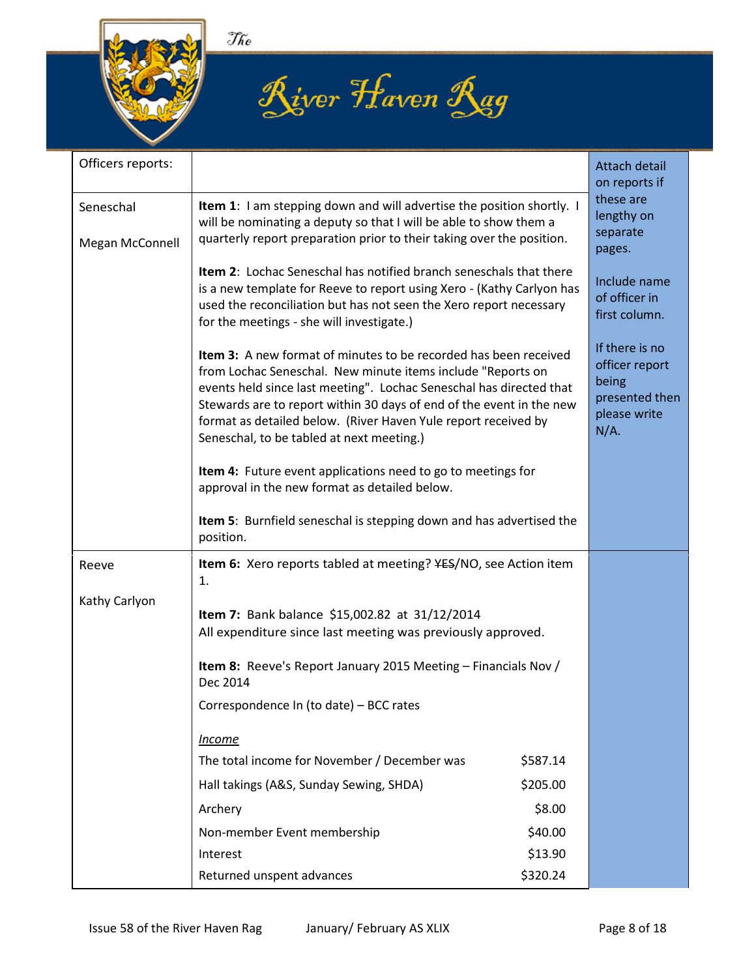





| Officers reports:            |                                                                                                                                                                                                                                                                                                                                                                                                      |                                               | Attach detail<br>on reports if                                                         |
|------------------------------|------------------------------------------------------------------------------------------------------------------------------------------------------------------------------------------------------------------------------------------------------------------------------------------------------------------------------------------------------------------------------------------------------|-----------------------------------------------|----------------------------------------------------------------------------------------|
| Seneschal<br>Megan McConnell | <b>Item 1:</b> I am stepping down and will advertise the position shortly. I<br>will be nominating a deputy so that I will be able to show them a<br>quarterly report preparation prior to their taking over the position.                                                                                                                                                                           | these are<br>lengthy on<br>separate<br>pages. |                                                                                        |
|                              | <b>Item 2:</b> Lochac Seneschal has notified branch seneschals that there<br>is a new template for Reeve to report using Xero - (Kathy Carlyon has<br>used the reconciliation but has not seen the Xero report necessary<br>for the meetings - she will investigate.)                                                                                                                                |                                               | Include name<br>of officer in<br>first column.                                         |
|                              | <b>Item 3:</b> A new format of minutes to be recorded has been received<br>from Lochac Seneschal. New minute items include "Reports on<br>events held since last meeting". Lochac Seneschal has directed that<br>Stewards are to report within 30 days of end of the event in the new<br>format as detailed below. (River Haven Yule report received by<br>Seneschal, to be tabled at next meeting.) |                                               | If there is no<br>officer report<br>being<br>presented then<br>please write<br>$N/A$ . |
|                              | Item 4: Future event applications need to go to meetings for<br>approval in the new format as detailed below.                                                                                                                                                                                                                                                                                        |                                               |                                                                                        |
|                              | Item 5: Burnfield seneschal is stepping down and has advertised the<br>position.                                                                                                                                                                                                                                                                                                                     |                                               |                                                                                        |
| Reeve                        | <b>Item 6:</b> Xero reports tabled at meeting? YES/NO, see Action item<br>1.                                                                                                                                                                                                                                                                                                                         |                                               |                                                                                        |
| Kathy Carlyon                | Item 7: Bank balance \$15,002.82 at 31/12/2014<br>All expenditure since last meeting was previously approved.                                                                                                                                                                                                                                                                                        |                                               |                                                                                        |
|                              | Item 8: Reeve's Report January 2015 Meeting - Financials Nov /<br>Dec 2014                                                                                                                                                                                                                                                                                                                           |                                               |                                                                                        |
|                              | Correspondence In (to date) - BCC rates                                                                                                                                                                                                                                                                                                                                                              |                                               |                                                                                        |
|                              | <b>Income</b>                                                                                                                                                                                                                                                                                                                                                                                        |                                               |                                                                                        |
|                              | The total income for November / December was                                                                                                                                                                                                                                                                                                                                                         | \$587.14                                      |                                                                                        |
|                              | Hall takings (A&S, Sunday Sewing, SHDA)                                                                                                                                                                                                                                                                                                                                                              | \$205.00                                      |                                                                                        |
|                              | Archery                                                                                                                                                                                                                                                                                                                                                                                              | \$8.00                                        |                                                                                        |
|                              | Non-member Event membership                                                                                                                                                                                                                                                                                                                                                                          | \$40.00                                       |                                                                                        |
|                              | Interest                                                                                                                                                                                                                                                                                                                                                                                             | \$13.90                                       |                                                                                        |
|                              | Returned unspent advances                                                                                                                                                                                                                                                                                                                                                                            | \$320.24                                      |                                                                                        |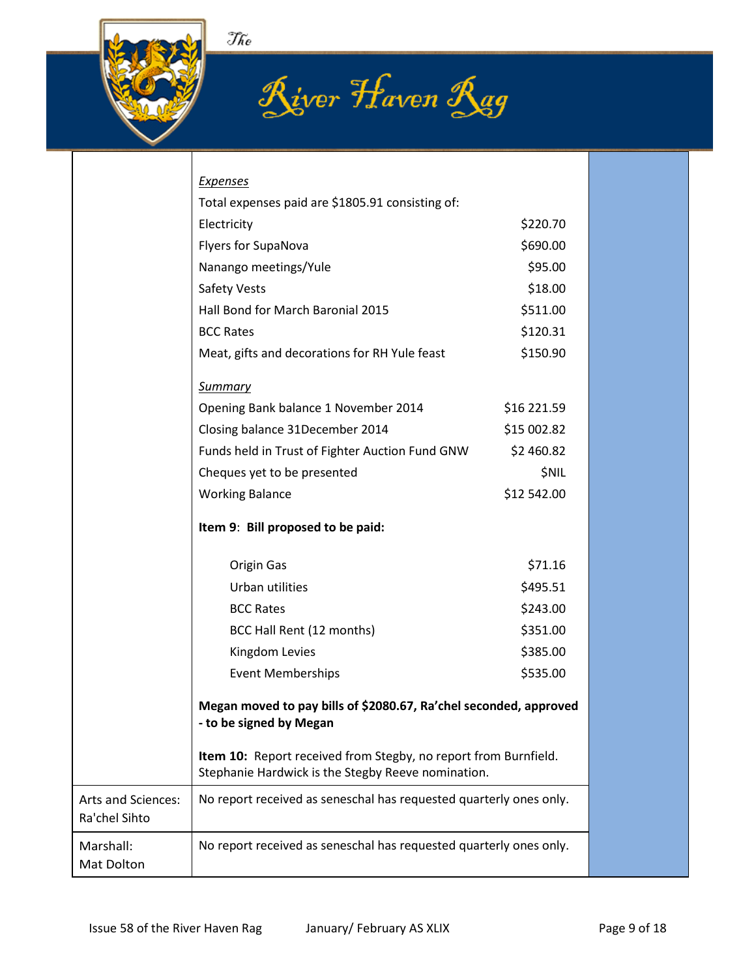





|                                            | <b>Expenses</b>                                                                                                       |              |  |
|--------------------------------------------|-----------------------------------------------------------------------------------------------------------------------|--------------|--|
|                                            | Total expenses paid are \$1805.91 consisting of:<br>Electricity                                                       | \$220.70     |  |
|                                            | Flyers for SupaNova                                                                                                   | \$690.00     |  |
|                                            | Nanango meetings/Yule                                                                                                 | \$95.00      |  |
|                                            | Safety Vests                                                                                                          | \$18.00      |  |
|                                            | Hall Bond for March Baronial 2015                                                                                     | \$511.00     |  |
|                                            | <b>BCC Rates</b>                                                                                                      | \$120.31     |  |
|                                            | Meat, gifts and decorations for RH Yule feast                                                                         | \$150.90     |  |
|                                            |                                                                                                                       |              |  |
|                                            | <b>Summary</b>                                                                                                        |              |  |
|                                            | Opening Bank balance 1 November 2014                                                                                  | \$16 221.59  |  |
|                                            | Closing balance 31December 2014                                                                                       | \$15 002.82  |  |
|                                            | Funds held in Trust of Fighter Auction Fund GNW                                                                       | \$2 460.82   |  |
|                                            | Cheques yet to be presented                                                                                           | <b>\$NIL</b> |  |
|                                            | <b>Working Balance</b>                                                                                                | \$12 542.00  |  |
|                                            | Item 9: Bill proposed to be paid:                                                                                     |              |  |
|                                            | Origin Gas                                                                                                            | \$71.16      |  |
|                                            | Urban utilities                                                                                                       | \$495.51     |  |
|                                            | <b>BCC Rates</b>                                                                                                      | \$243.00     |  |
|                                            | BCC Hall Rent (12 months)                                                                                             | \$351.00     |  |
|                                            | Kingdom Levies                                                                                                        | \$385.00     |  |
|                                            | <b>Event Memberships</b>                                                                                              | \$535.00     |  |
|                                            | Megan moved to pay bills of \$2080.67, Ra'chel seconded, approved<br>- to be signed by Megan                          |              |  |
|                                            | Item 10: Report received from Stegby, no report from Burnfield.<br>Stephanie Hardwick is the Stegby Reeve nomination. |              |  |
| <b>Arts and Sciences:</b><br>Ra'chel Sihto | No report received as seneschal has requested quarterly ones only.                                                    |              |  |
| Marshall:<br>Mat Dolton                    | No report received as seneschal has requested quarterly ones only.                                                    |              |  |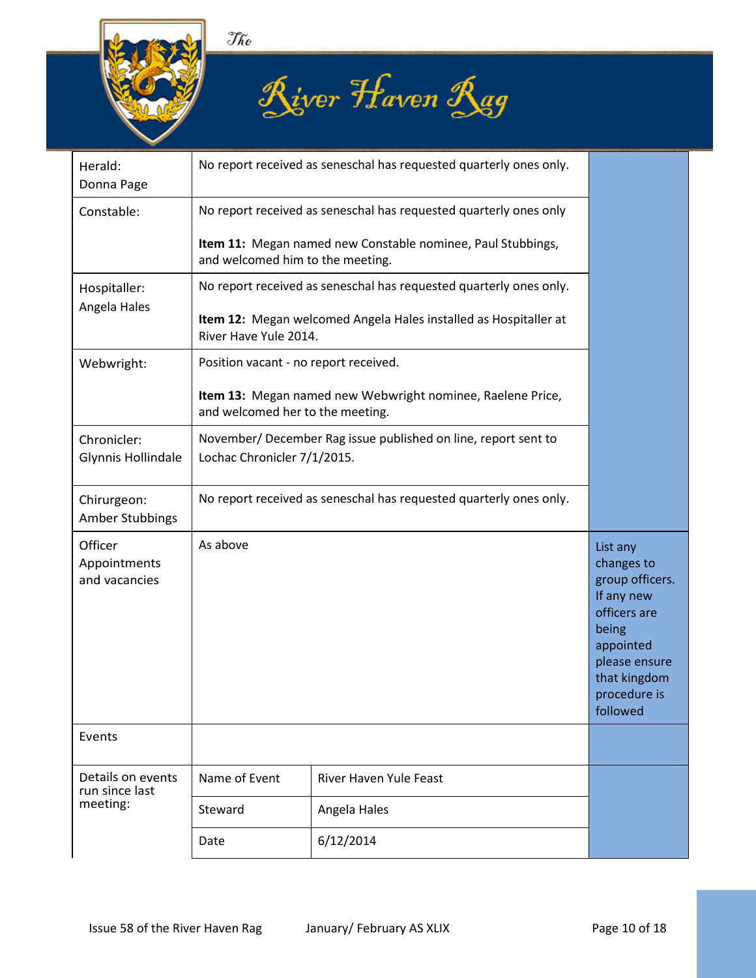





| Herald:<br>Donna Page                    |                                                                                                 | No report received as seneschal has requested quarterly ones only.                             |                                                                                                                                                            |  |
|------------------------------------------|-------------------------------------------------------------------------------------------------|------------------------------------------------------------------------------------------------|------------------------------------------------------------------------------------------------------------------------------------------------------------|--|
| Constable:                               | No report received as seneschal has requested quarterly ones only                               |                                                                                                |                                                                                                                                                            |  |
|                                          | Item 11: Megan named new Constable nominee, Paul Stubbings,<br>and welcomed him to the meeting. |                                                                                                |                                                                                                                                                            |  |
| Hospitaller:                             |                                                                                                 | No report received as seneschal has requested quarterly ones only.                             |                                                                                                                                                            |  |
| Angela Hales                             | River Have Yule 2014.                                                                           | Item 12: Megan welcomed Angela Hales installed as Hospitaller at                               |                                                                                                                                                            |  |
| Webwright:                               | Position vacant - no report received.                                                           |                                                                                                |                                                                                                                                                            |  |
|                                          |                                                                                                 | Item 13: Megan named new Webwright nominee, Raelene Price,<br>and welcomed her to the meeting. |                                                                                                                                                            |  |
| Chronicler:<br>Glynnis Hollindale        |                                                                                                 | November/ December Rag issue published on line, report sent to                                 |                                                                                                                                                            |  |
|                                          | Lochac Chronicler 7/1/2015.                                                                     |                                                                                                |                                                                                                                                                            |  |
| Chirurgeon:<br>Amber Stubbings           | No report received as seneschal has requested quarterly ones only.                              |                                                                                                |                                                                                                                                                            |  |
| Officer<br>Appointments<br>and vacancies | As above                                                                                        |                                                                                                | List any<br>changes to<br>group officers.<br>If any new<br>officers are<br>being<br>appointed<br>please ensure<br>that kingdom<br>procedure is<br>followed |  |
| Events                                   |                                                                                                 |                                                                                                |                                                                                                                                                            |  |
| Details on events<br>run since last      | Name of Event                                                                                   | River Haven Yule Feast                                                                         |                                                                                                                                                            |  |
| meeting:                                 | Steward                                                                                         | Angela Hales                                                                                   |                                                                                                                                                            |  |
|                                          | Date                                                                                            | 6/12/2014                                                                                      |                                                                                                                                                            |  |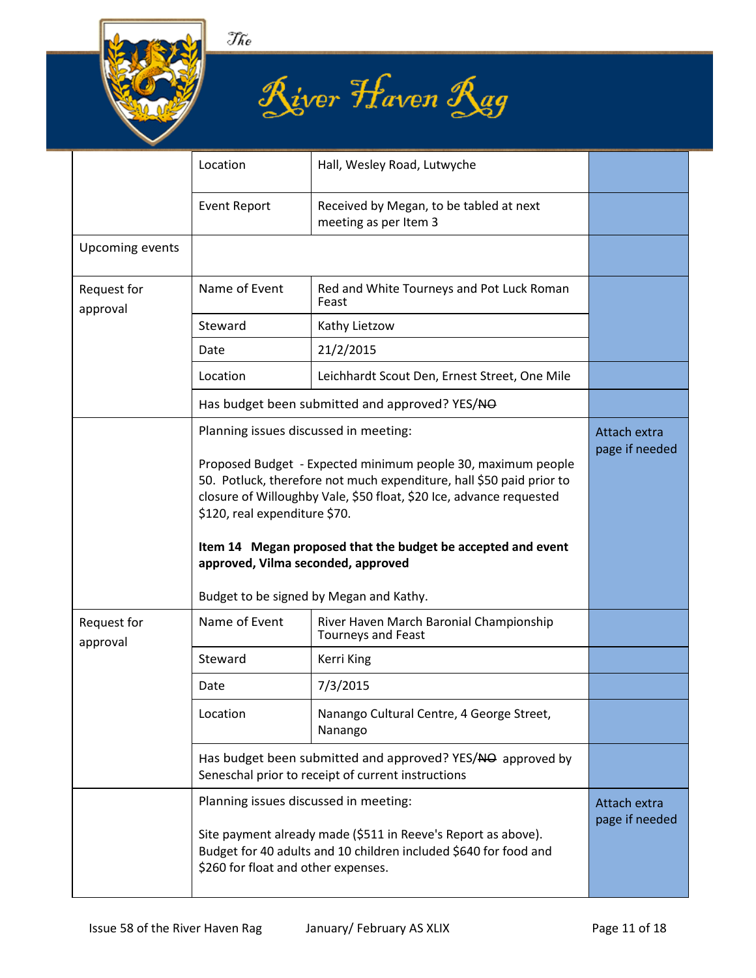





|                         | Location                                                                                                                                                                                                                                                                                                                                                                                                                               | Hall, Wesley Road, Lutwyche                                          |                                |
|-------------------------|----------------------------------------------------------------------------------------------------------------------------------------------------------------------------------------------------------------------------------------------------------------------------------------------------------------------------------------------------------------------------------------------------------------------------------------|----------------------------------------------------------------------|--------------------------------|
|                         | <b>Event Report</b>                                                                                                                                                                                                                                                                                                                                                                                                                    | Received by Megan, to be tabled at next<br>meeting as per Item 3     |                                |
| <b>Upcoming events</b>  |                                                                                                                                                                                                                                                                                                                                                                                                                                        |                                                                      |                                |
| Request for<br>approval | Name of Event                                                                                                                                                                                                                                                                                                                                                                                                                          | Red and White Tourneys and Pot Luck Roman<br>Feast                   |                                |
|                         | Steward                                                                                                                                                                                                                                                                                                                                                                                                                                | Kathy Lietzow                                                        |                                |
|                         | Date                                                                                                                                                                                                                                                                                                                                                                                                                                   | 21/2/2015                                                            |                                |
|                         | Location                                                                                                                                                                                                                                                                                                                                                                                                                               | Leichhardt Scout Den, Ernest Street, One Mile                        |                                |
|                         |                                                                                                                                                                                                                                                                                                                                                                                                                                        | Has budget been submitted and approved? YES/NO                       |                                |
|                         | Planning issues discussed in meeting:<br>Proposed Budget - Expected minimum people 30, maximum people<br>50. Potluck, therefore not much expenditure, hall \$50 paid prior to<br>closure of Willoughby Vale, \$50 float, \$20 Ice, advance requested<br>\$120, real expenditure \$70.<br>Item 14 Megan proposed that the budget be accepted and event<br>approved, Vilma seconded, approved<br>Budget to be signed by Megan and Kathy. |                                                                      | Attach extra<br>page if needed |
| Request for<br>approval | Name of Event                                                                                                                                                                                                                                                                                                                                                                                                                          | River Haven March Baronial Championship<br><b>Tourneys and Feast</b> |                                |
|                         | Steward                                                                                                                                                                                                                                                                                                                                                                                                                                | Kerri King                                                           |                                |
|                         | Date                                                                                                                                                                                                                                                                                                                                                                                                                                   | 7/3/2015                                                             |                                |
|                         | Location                                                                                                                                                                                                                                                                                                                                                                                                                               | Nanango Cultural Centre, 4 George Street,<br>Nanango                 |                                |
|                         | Has budget been submitted and approved? YES/NO approved by<br>Seneschal prior to receipt of current instructions                                                                                                                                                                                                                                                                                                                       |                                                                      |                                |
|                         | Planning issues discussed in meeting:<br>Site payment already made (\$511 in Reeve's Report as above).<br>Budget for 40 adults and 10 children included \$640 for food and<br>\$260 for float and other expenses.                                                                                                                                                                                                                      |                                                                      | Attach extra<br>page if needed |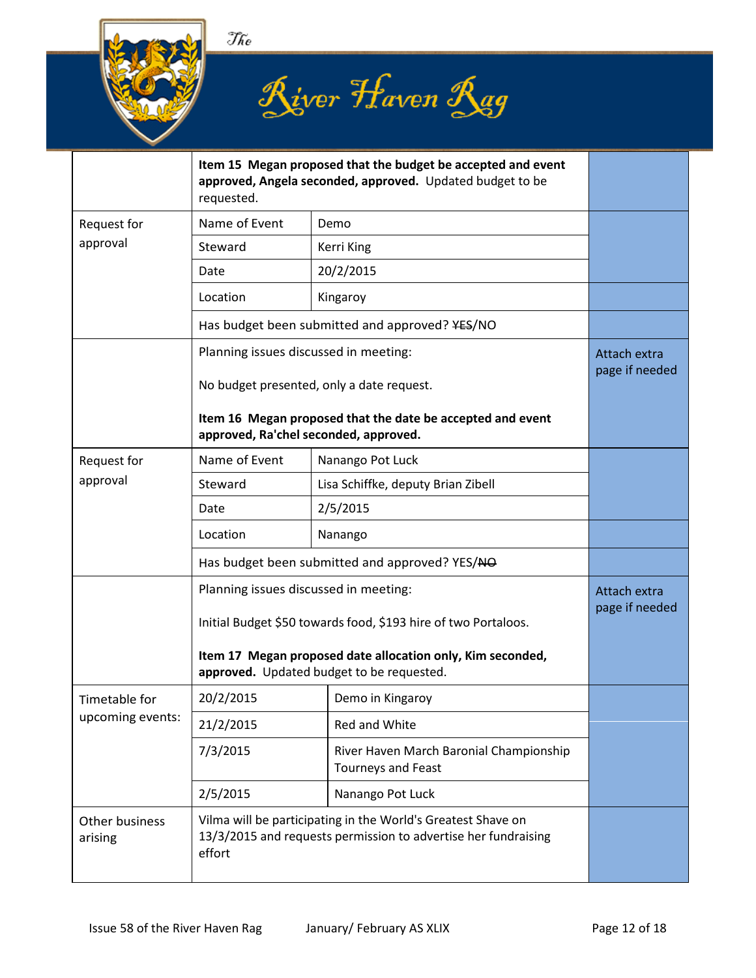





|                           | Item 15 Megan proposed that the budget be accepted and event<br>approved, Angela seconded, approved. Updated budget to be<br>requested.  |                                                               |  |
|---------------------------|------------------------------------------------------------------------------------------------------------------------------------------|---------------------------------------------------------------|--|
| Request for               | Name of Event                                                                                                                            | Demo                                                          |  |
| approval                  | Steward                                                                                                                                  | Kerri King                                                    |  |
|                           | Date                                                                                                                                     | 20/2/2015                                                     |  |
|                           | Location                                                                                                                                 | Kingaroy                                                      |  |
|                           |                                                                                                                                          | Has budget been submitted and approved? ¥ES/NO                |  |
|                           | Planning issues discussed in meeting:<br>No budget presented, only a date request.                                                       | Attach extra<br>page if needed                                |  |
|                           | Item 16 Megan proposed that the date be accepted and event<br>approved, Ra'chel seconded, approved.                                      |                                                               |  |
| Request for               | Name of Event                                                                                                                            | Nanango Pot Luck                                              |  |
| approval                  | Steward                                                                                                                                  | Lisa Schiffke, deputy Brian Zibell                            |  |
|                           | Date                                                                                                                                     | 2/5/2015                                                      |  |
|                           | Location                                                                                                                                 | Nanango                                                       |  |
|                           | Has budget been submitted and approved? YES/NO                                                                                           |                                                               |  |
|                           | Planning issues discussed in meeting:<br>Initial Budget \$50 towards food, \$193 hire of two Portaloos.                                  | Attach extra<br>page if needed                                |  |
|                           | Item 17 Megan proposed date allocation only, Kim seconded,<br>approved. Updated budget to be requested.                                  |                                                               |  |
| Timetable for             | 20/2/2015                                                                                                                                | Demo in Kingaroy                                              |  |
| upcoming events:          | 21/2/2015                                                                                                                                | Red and White                                                 |  |
|                           | 7/3/2015                                                                                                                                 | River Haven March Baronial Championship<br>Tourneys and Feast |  |
|                           | 2/5/2015                                                                                                                                 | Nanango Pot Luck                                              |  |
| Other business<br>arising | Vilma will be participating in the World's Greatest Shave on<br>13/3/2015 and requests permission to advertise her fundraising<br>effort |                                                               |  |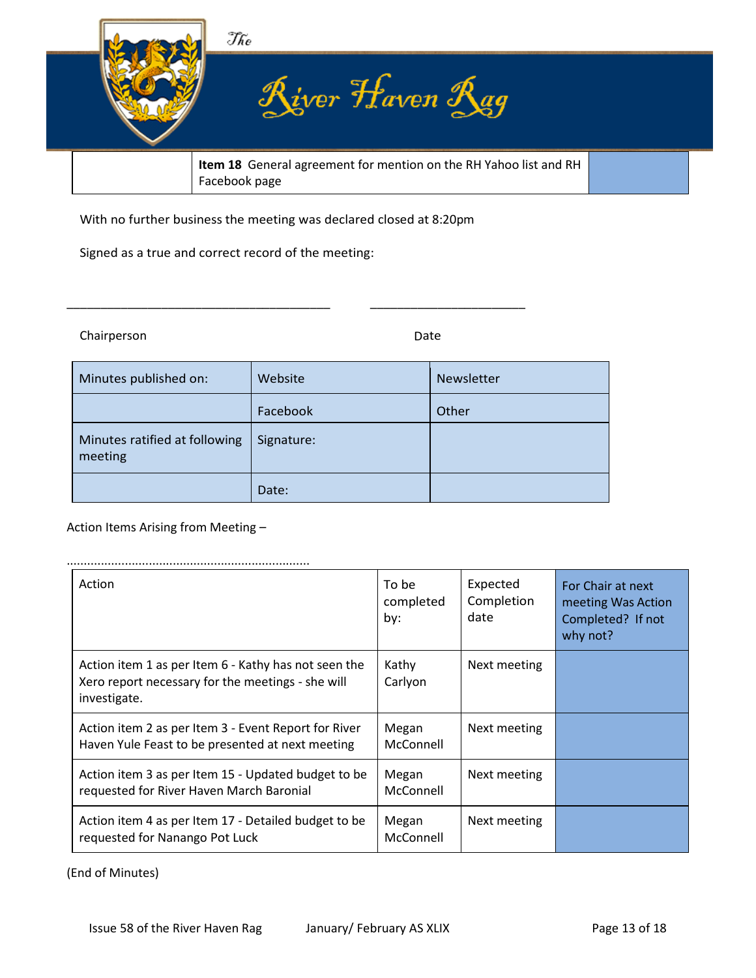

With no further business the meeting was declared closed at 8:20pm

\_\_\_\_\_\_\_\_\_\_\_\_\_\_\_\_\_\_\_\_\_\_\_\_\_\_\_\_\_\_\_\_\_\_\_\_\_\_\_ \_\_\_\_\_\_\_\_\_\_\_\_\_\_\_\_\_\_\_\_\_\_\_

Signed as a true and correct record of the meeting:

Chairperson Date **Date** 

| Minutes published on:                    | Website    | Newsletter |
|------------------------------------------|------------|------------|
|                                          | Facebook   | Other      |
| Minutes ratified at following<br>meeting | Signature: |            |
|                                          | Date:      |            |

#### Action Items Arising from Meeting –

| Action                                                                                                                    | To be<br>completed<br>by: | Expected<br>Completion<br>date | For Chair at next<br>meeting Was Action<br>Completed? If not<br>why not? |
|---------------------------------------------------------------------------------------------------------------------------|---------------------------|--------------------------------|--------------------------------------------------------------------------|
| Action item 1 as per Item 6 - Kathy has not seen the<br>Xero report necessary for the meetings - she will<br>investigate. | Kathy<br>Carlyon          | Next meeting                   |                                                                          |
| Action item 2 as per Item 3 - Event Report for River<br>Haven Yule Feast to be presented at next meeting                  | Megan<br>McConnell        | Next meeting                   |                                                                          |
| Action item 3 as per Item 15 - Updated budget to be<br>requested for River Haven March Baronial                           | Megan<br>McConnell        | Next meeting                   |                                                                          |
| Action item 4 as per Item 17 - Detailed budget to be<br>requested for Nanango Pot Luck                                    | Megan<br>McConnell        | Next meeting                   |                                                                          |

(End of Minutes)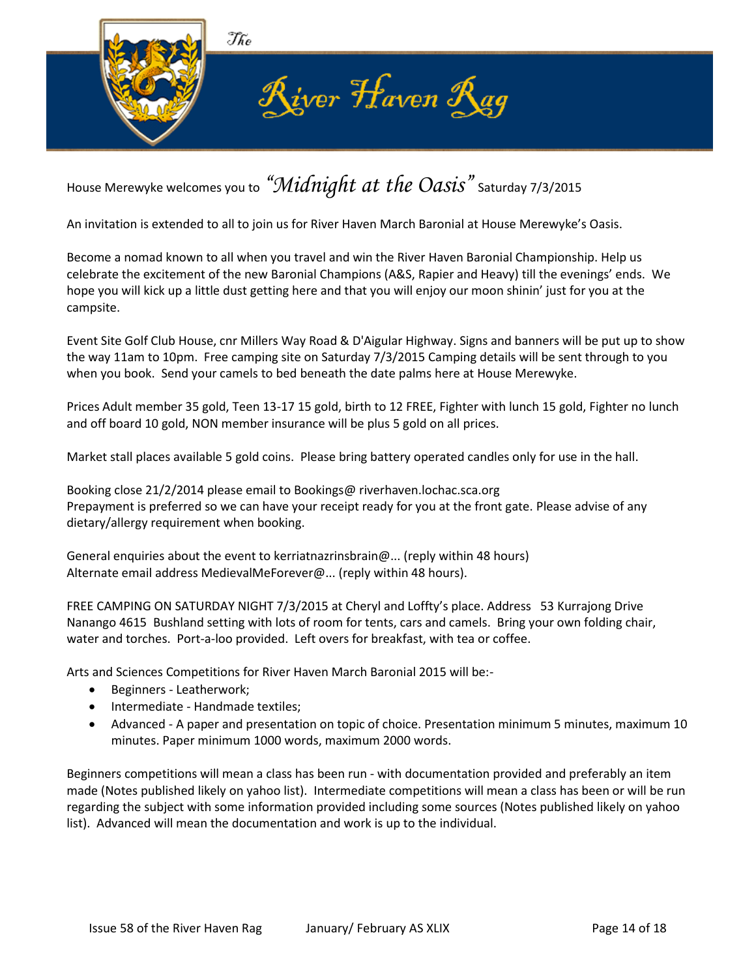

## House Merewyke welcomes you to *"Midnight at the Oasis"* Saturday 7/3/2015

An invitation is extended to all to join us for River Haven March Baronial at House Merewyke's Oasis.

Become a nomad known to all when you travel and win the River Haven Baronial Championship. Help us celebrate the excitement of the new Baronial Champions (A&S, Rapier and Heavy) till the evenings' ends. We hope you will kick up a little dust getting here and that you will enjoy our moon shinin' just for you at the campsite.

Event Site Golf Club House, cnr Millers Way Road & D'Aigular Highway. Signs and banners will be put up to show the way 11am to 10pm. Free camping site on Saturday 7/3/2015 Camping details will be sent through to you when you book. Send your camels to bed beneath the date palms here at House Merewyke.

Prices Adult member 35 gold, Teen 13-17 15 gold, birth to 12 FREE, Fighter with lunch 15 gold, Fighter no lunch and off board 10 gold, NON member insurance will be plus 5 gold on all prices.

Market stall places available 5 gold coins. Please bring battery operated candles only for use in the hall.

Booking close 21/2/2014 please email to Bookings@ riverhaven.lochac.sca.org Prepayment is preferred so we can have your receipt ready for you at the front gate. Please advise of any dietary/allergy requirement when booking.

General enquiries about the event to kerriatnazrinsbrain@... (reply within 48 hours) Alternate email address MedievalMeForever@... (reply within 48 hours).

FREE CAMPING ON SATURDAY NIGHT 7/3/2015 at Cheryl and Loffty's place. Address 53 Kurrajong Drive Nanango 4615 Bushland setting with lots of room for tents, cars and camels. Bring your own folding chair, water and torches. Port-a-loo provided. Left overs for breakfast, with tea or coffee.

Arts and Sciences Competitions for River Haven March Baronial 2015 will be:-

- Beginners Leatherwork;
- Intermediate Handmade textiles;
- Advanced A paper and presentation on topic of choice. Presentation minimum 5 minutes, maximum 10 minutes. Paper minimum 1000 words, maximum 2000 words.

Beginners competitions will mean a class has been run - with documentation provided and preferably an item made (Notes published likely on yahoo list). Intermediate competitions will mean a class has been or will be run regarding the subject with some information provided including some sources (Notes published likely on yahoo list). Advanced will mean the documentation and work is up to the individual.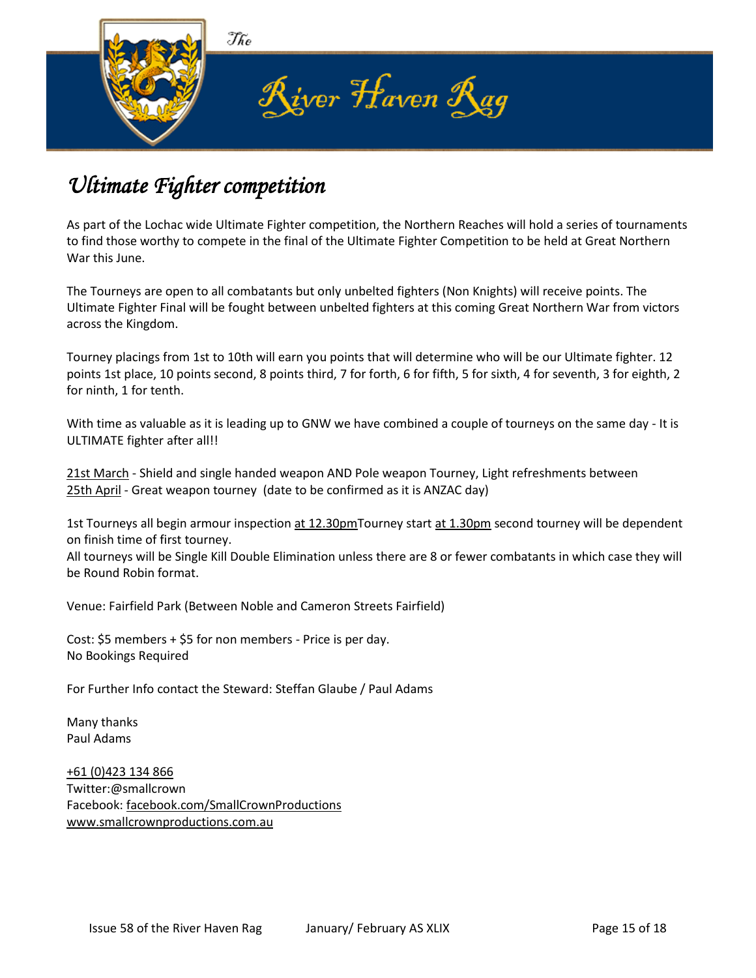

## *Ultimate Fighter competition*

As part of the Lochac wide Ultimate Fighter competition, the Northern Reaches will hold a series of tournaments to find those worthy to compete in the final of the Ultimate Fighter Competition to be held at Great Northern War this June.

The Tourneys are open to all combatants but only unbelted fighters (Non Knights) will receive points. The Ultimate Fighter Final will be fought between unbelted fighters at this coming Great Northern War from victors across the Kingdom.

Tourney placings from 1st to 10th will earn you points that will determine who will be our Ultimate fighter. 12 points 1st place, 10 points second, 8 points third, 7 for forth, 6 for fifth, 5 for sixth, 4 for seventh, 3 for eighth, 2 for ninth, 1 for tenth.

With time as valuable as it is leading up to GNW we have combined a couple of tourneys on the same day - It is ULTIMATE fighter after all!!

[21st March](x-apple-data-detectors://2/) - Shield and single handed weapon AND Pole weapon Tourney, Light refreshments between [25th April](x-apple-data-detectors://3/) - Great weapon tourney (date to be confirmed as it is ANZAC day)

1st Tourneys all begin armour inspection [at 12.30pmT](x-apple-data-detectors://4/)ourney start [at 1.30pm](x-apple-data-detectors://5/) second tourney will be dependent on finish time of first tourney.

All tourneys will be Single Kill Double Elimination unless there are 8 or fewer combatants in which case they will be Round Robin format.

Venue: Fairfield Park (Between Noble and Cameron Streets Fairfield)

Cost: \$5 members + \$5 for non members - Price is per day. No Bookings Required

For Further Info contact the Steward: Steffan Glaube / Paul Adams

Many thanks Paul Adams

[+61 \(0\)423 134 866](tel:+61%20(0)423%20134%20866) Twitter:@smallcrown Facebook: [facebook.com/SmallCrownProductions](https://www.facebook.com/SmallCrownProductions) [www.smallcrownproductions.com.au](https://webmail.iinet.net.au/index.php/default/index/htt%0A%20p:/www.smallcrownproductions.com.au/)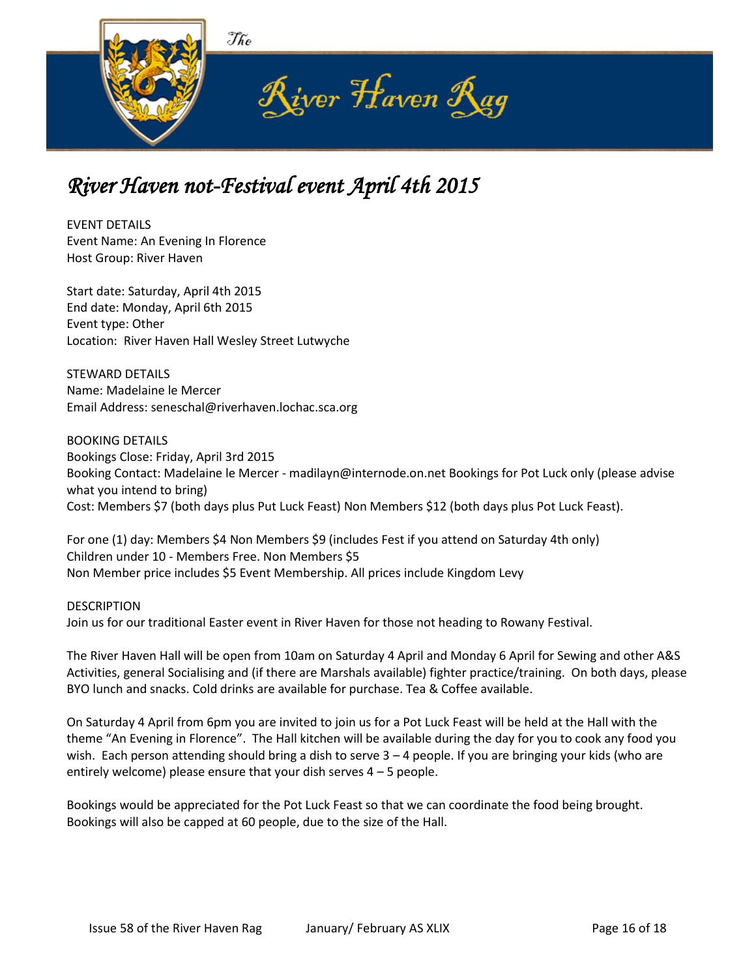

## *River Haven not-Festival event April 4th 2015*

EVENT DETAILS Event Name: An Evening In Florence Host Group: River Haven

Start date: Saturday, April 4th 2015 End date: Monday, April 6th 2015 Event type: Other Location: River Haven Hall Wesley Street Lutwyche

STEWARD DETAILS Name: Madelaine le Mercer Email Address: seneschal@riverhaven.lochac.sca.org

BOOKING DETAILS Bookings Close: Friday, April 3rd 2015 Booking Contact: Madelaine le Mercer - madilayn@internode.on.net Bookings for Pot Luck only (please advise what you intend to bring) Cost: Members \$7 (both days plus Put Luck Feast) Non Members \$12 (both days plus Pot Luck Feast).

For one (1) day: Members \$4 Non Members \$9 (includes Fest if you attend on Saturday 4th only) Children under 10 - Members Free. Non Members \$5 Non Member price includes \$5 Event Membership. All prices include Kingdom Levy

**DESCRIPTION** Join us for our traditional Easter event in River Haven for those not heading to Rowany Festival.

The River Haven Hall will be open from 10am on Saturday 4 April and Monday 6 April for Sewing and other A&S Activities, general Socialising and (if there are Marshals available) fighter practice/training. On both days, please BYO lunch and snacks. Cold drinks are available for purchase. Tea & Coffee available.

On Saturday 4 April from 6pm you are invited to join us for a Pot Luck Feast will be held at the Hall with the theme "An Evening in Florence". The Hall kitchen will be available during the day for you to cook any food you wish. Each person attending should bring a dish to serve 3 – 4 people. If you are bringing your kids (who are entirely welcome) please ensure that your dish serves  $4 - 5$  people.

Bookings would be appreciated for the Pot Luck Feast so that we can coordinate the food being brought. Bookings will also be capped at 60 people, due to the size of the Hall.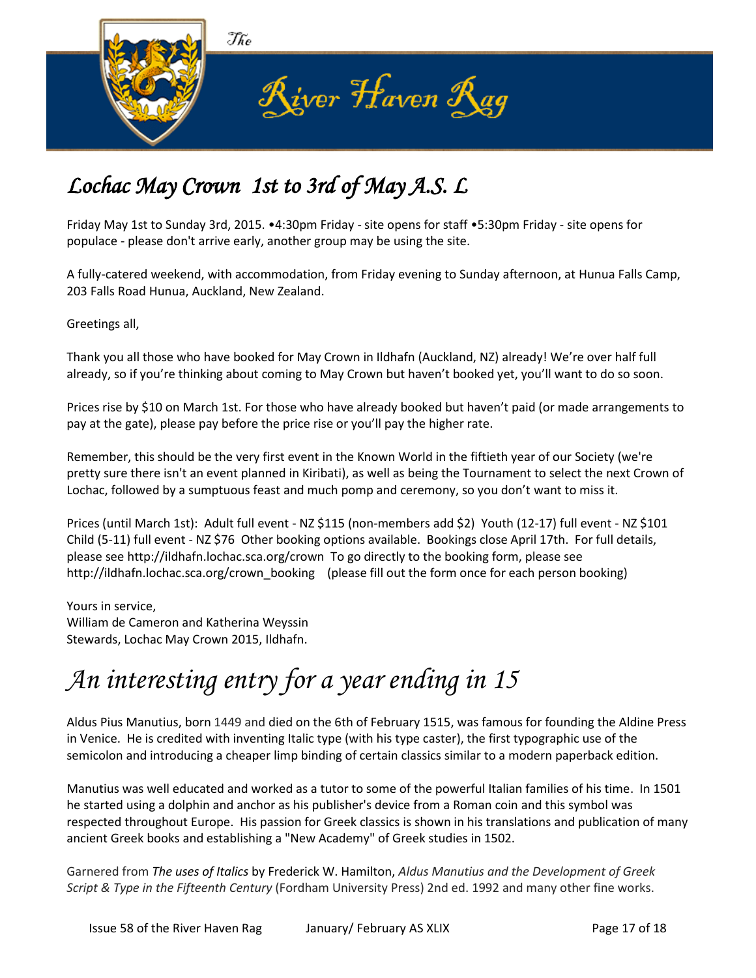

## *Lochac May Crown 1st to 3rd of May A.S. L*

Friday May 1st to Sunday 3rd, 2015. •4:30pm Friday - site opens for staff •5:30pm Friday - site opens for populace - please don't arrive early, another group may be using the site.

A fully-catered weekend, with accommodation, from Friday evening to Sunday afternoon, at Hunua Falls Camp, 203 Falls Road Hunua, Auckland, New Zealand.

Greetings all,

Thank you all those who have booked for May Crown in Ildhafn (Auckland, NZ) already! We're over half full already, so if you're thinking about coming to May Crown but haven't booked yet, you'll want to do so soon.

Prices rise by \$10 on March 1st. For those who have already booked but haven't paid (or made arrangements to pay at the gate), please pay before the price rise or you'll pay the higher rate.

Remember, this should be the very first event in the Known World in the fiftieth year of our Society (we're pretty sure there isn't an event planned in Kiribati), as well as being the Tournament to select the next Crown of Lochac, followed by a sumptuous feast and much pomp and ceremony, so you don't want to miss it.

Prices (until March 1st): Adult full event - NZ \$115 (non-members add \$2) Youth (12-17) full event - NZ \$101 Child (5-11) full event - NZ \$76 Other booking options available. Bookings close April 17th. For full details, please see http://ildhafn.lochac.sca.org/crown To go directly to the booking form, please see http://ildhafn.lochac.sca.org/crown\_booking (please fill out the form once for each person booking)

Yours in service, William de Cameron and Katherina Weyssin Stewards, Lochac May Crown 2015, Ildhafn.

# *An interesting entry for a year ending in 15*

Aldus Pius Manutius, born 1449 and died on the 6th of February 1515, was famous for founding the Aldine Press in Venice. He is credited with inventing Italic type (with his type caster), the first typographic use of the semicolon and introducing a cheaper limp binding of certain classics similar to a modern paperback edition.

Manutius was well educated and worked as a tutor to some of the powerful Italian families of his time. In 1501 he started using a dolphin and anchor as his publisher's device from a Roman coin and this symbol was respected throughout Europe. His passion for Greek classics is shown in his translations and publication of many ancient Greek books and establishing a "New Academy" of Greek studies in 1502.

Garnered from *The uses of Italics* by Frederick W. Hamilton, *Aldus Manutius and the Development of Greek Script & Type in the Fifteenth Century* (Fordham University Press) 2nd ed. 1992 and many other fine works.